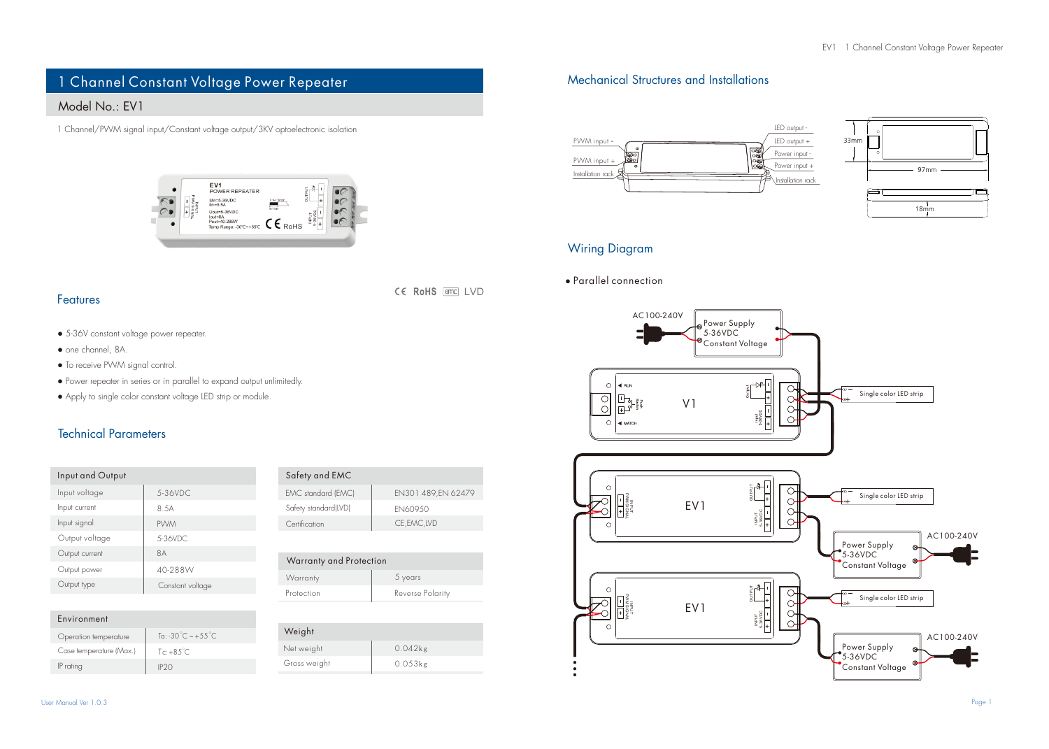# 1 Channel Constant Voltage Power Repeater

## Model No.: EV1

1 Channel/PWM signal input/Constant voltage output/3KV optoelectronic isolation



#### Features

● 5-36V constant voltage power repeater.

- one channel, 8A.
- To receive PWM signal control.
- Power repeater in series or in parallel to expand output unlimitedly.
- Apply to single color constant voltage LED strip or module.

### Technical Parameters

| Input and Output |                  |
|------------------|------------------|
| Input voltage    | 5-36VDC          |
| Input current    | 8.5A             |
| Input signal     | <b>PVVM</b>      |
| Output voltage   | 5-36VDC          |
| Output current   | 8A               |
| Output power     | 40-288W          |
| Output type      | Constant voltage |
|                  |                  |

| Environment             |                         |
|-------------------------|-------------------------|
| Operation temperature   | To: -30°C $\sim +55$ °C |
| Case temperature (Max.) | Tc: $+85^{\circ}$ C     |
| IP rating               | IP20                    |

| Safety and EMC       |                     |
|----------------------|---------------------|
| EMC standard (EMC)   | EN301 489, EN 62479 |
| Safety standard(LVD) | EN60950             |
| Certification        | CE.EMC.LVD          |

CE RoHS and IVD

| Warranty and Protection |                  |  |
|-------------------------|------------------|--|
| Warranty                | 5 years          |  |
| Protection              | Reverse Polarity |  |

| Weight       |            |
|--------------|------------|
| Net weight   | $0.042$ kg |
| Gross weight | $0.053$ kg |
|              |            |

## Mechanical Structures and Installations





#### Wiring Diagram

● Parallel connection